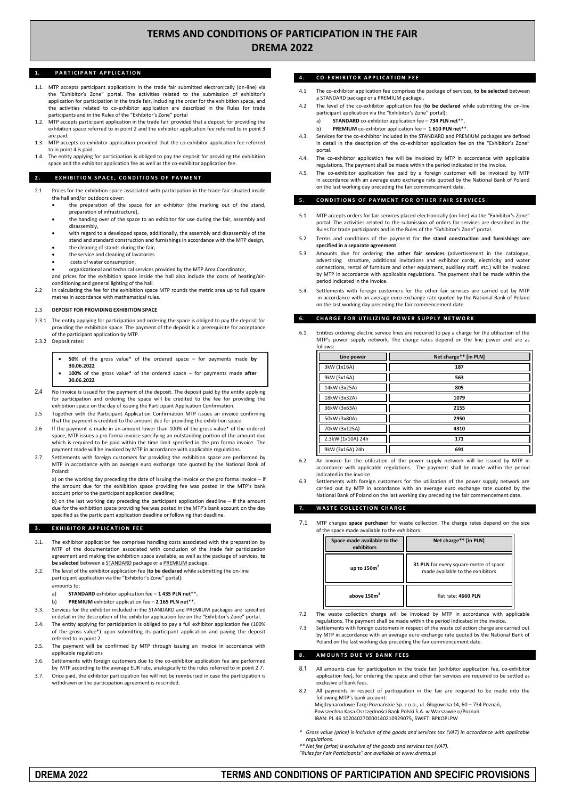# **TERMS AND CONDITIONS OF PARTICIPATION IN THE FAIR DREMA 2022**

# 1. **PARTICIPANT APPLICATION**

- 1.1. MTP accepts participant applications in the trade fair submitted electronically (on-line) via the "Exhibitor's Zone" portal. The activities related to the submission of exhibitor's application for participation in the trade fair, including the order for the exhibition space, and the activities related to co-exhibitor application are described in the Rules for trade participants and in the Rules of the "Exhibitor's Zone" portal
- 1.2. MTP accepts participant application in the trade fair provided that a deposit for providing the exhibition space referred to in point 2 and the exhibitor application fee referred to in point 3 are paid.
- 1.3. MTP accepts co-exhibitor application provided that the co-exhibitor application fee referred to in point 4 is paid.
- The entity applying for participation is obliged to pay the deposit for providing the exhibition space and the exhibitor application fee as well as the co-exhibitor application fee.

#### **2. EXHIBITION SPACE, CONDITIONS OF PAYMENT**

- 2.1 Prices for the exhibition space associated with participation in the trade fair situated inside the hall and/or outdoors cover:
	- the preparation of the space for an exhibitor (the marking out of the stand, preparation of infrastructure),
	- the handing over of the space to an exhibitor for use during the fair, assembly and disassembly,
	- with regard to a developed space, additionally, the assembly and disassembly of the stand and standard construction and furnishings in accordance with the MTP design,
	- the cleaning of stands during the fair,
	- the service and cleaning of lavatories
	- costs of water consumption,

 organizational and technical services provided by the MTP Area Coordinator, and prices for the exhibition space inside the hall also include the costs of heating/air-

conditioning and general lighting of the hall. 2.2 In calculating the fee for the exhibition space MTP rounds the metric area up to full square metres in accordance with mathematical rules.

### 2.3 **DEPOSIT FOR PROVIDING EXHIBITION SPACE**

- 2.3.1 The entity applying for participation and ordering the space is obliged to pay the deposit for providing the exhibition space. The payment of the deposit is a prerequisite for acceptance of the participant application by MTP.
- 2.3.2 Deposit rates:
	- **50%** of the gross value\* of the ordered space for payments made **by 30.06.2022**
	- **100%** of the gross value\* of the ordered space for payments made **after 30.06.2022**
- 2.4 No invoice is issued for the payment of the deposit. The deposit paid by the entity applying for participation and ordering the space will be credited to the fee for providing the exhibition space on the day of issuing the Participant Application Confirmation.
- 2.5 Together with the Participant Application Confirmation MTP issues an invoice confirming that the payment is credited to the amount due for providing the exhibition space.
- 2.6 If the payment is made in an amount lower than 100% of the gross value\* of the ordered space, MTP issues a pro forma invoice specifying an outstanding portion of the amount due which is required to be paid within the time limit specified in the pro forma invoice. The payment made will be invoiced by MTP in accordance with applicable regulations.
- 2.7 Settlements with foreign customers for providing the exhibition space are performed by MTP in accordance with an average euro exchange rate quoted by the National Bank of Poland:

a) on the working day preceding the date of issuing the invoice or the pro forma invoice – if the amount due for the exhibition space providing fee was posted in the MTP's bank account prior to the participant application deadline;

b) on the last working day preceding the participant application deadline – if the amount due for the exhibition space providing fee was posted in the MTP's bank account on the day specified as the participant application deadline or following that deadline

#### **3. EXHIBITOR APPLICATION FEE**

- 3.1. The exhibitor application fee comprises handling costs associated with the preparation by MTP of the documentation associated with conclusion of the trade fair participation agreement and making the exhibition space available, as well as the package of services, **to be selected** between a STANDARD package or a PREMIUM package.
- 3.2. The level of the exhibitor application fee (**to be declared** while submitting the on-line participant application via the "Exhibitor's Zone" portal): amounts to:

a) **STANDARD** exhibitor application fee – **1 435 PLN net**\*\*,

- b) **PREMIUM** exhibitor application fee **2 165 PLN net**\*\*.
- 3.3. Services for the exhibitor included in the STANDARD and PREMIUM packages are specified in detail in the description of the exhibitor application fee on the "Exhibitor's Zone" portal.
- 3.4. The entity applying for participation is obliged to pay a full exhibitor application fee (100% of the gross value\*) upon submitting its participant application and paying the deposit referred to in point 2.
- 3.5. The payment will be confirmed by MTP through issuing an invoice in accordance with applicable regulations
- 3.6. Settlements with foreign customers due to the co-exhibitor application fee are performed by MTP according to the average EUR rate, analogically to the rules referred to in point 2.7.
- Once paid, the exhibitor participation fee will not be reimbursed in case the participation is withdrawn or the participation agreement is rescinded.

# **4 . C O - E X H I B I T O R A P P L I C A T I O N F E E**

- 4.1 The co-exhibitor application fee comprises the package of services, **to be selected** between a STANDARD package or a PREMIUM package .
- 4.2 The level of the co-exhibitor application fee (**to be declared** while submitting the on-line participant application via the "Exhibitor's Zone" portal):
	- a) **STANDARD** co-exhibitor application fee **734 PLN net**\*\*,
	- b) **PREMIUM** co-exhibitor application fee **1 610 PLN net**\*\*.
- 4.3. Services for the co-exhibitor included in the STANDARD and PREMIUM packages are defined in detail in the description of the co-exhibitor application fee on the "Exhibitor's Zone" portal.
- 4.4. The co-exhibitor application fee will be invoiced by MTP in accordance with applicable regulations. The payment shall be made within the period indicated in the invoice.
- The co-exhibitor application fee paid by a foreign customer will be invoiced by MTP in accordance with an average euro exchange rate quoted by the National Bank of Poland on the last working day preceding the fair commencement date.

### **5. CONDITIONS OF PAYMENT FOR OTHER FAIR SERVICES**

- 5.1 MTP accepts orders for fair services placed electronically (on-line) via the "Exhibitor's Zone" portal. The activities related to the submission of orders for services are described in the Rules for trade participants and in the Rules of the "Exhibitor's Zone" portal.
- 5.2 Terms and conditions of the payment for **the stand construction and furnishings are specified in a separate agreement**.
- 5.3. Amounts due for ordering **the other fair services** (advertisement in the catalogue, advertising structure, additional invitations and exhibitor cards, electricity and water connections, rental of furniture and other equipment, auxiliary staff, etc.) will be invoiced by MTP in accordance with applicable regulations. The payment shall be made within the period indicated in the invoice.
- Settlements with foreign customers for the other fair services are carried out by MTP in accordance with an average euro exchange rate quoted by the National Bank of Poland on the last working day preceding the fair commencement date.

# **CHARGE FOR UTILIZING POWER SUPPLY NETWORK**

Entities ordering electric service lines are required to pay a charge for the utilization of the MTP's power supply network. The charge rates depend on the line power and are as follows:

| Line power        | Net charge** [in PLN] |
|-------------------|-----------------------|
| 3kW (1x16A)       | 187                   |
| 9kW (3x16A)       | 563                   |
| 14kW (3x25A)      | 805                   |
| 18kW (3x32A)      | 1079                  |
| 36kW (3x63A)      | 2155                  |
| 50kW (3x80A)      | 2950                  |
| 70kW (3x125A)     | 4310                  |
| 2.3kW (1x10A) 24h | 171                   |
| 9kW (3x16A) 24h   | 691                   |

- An invoice for the utilization of the power supply network will be issued by MTP in accordance with applicable regulations. The payment shall be made within the period indicated in the invoice.
- 6.3. Settlements with foreign customers for the utilization of the power supply network are carried out by MTP in accordance with an average euro exchange rate quoted by the National Bank of Poland on the last working day preceding the fair commencement date.

### **WASTE COLLECTION CHARGE**

7.1 MTP charges **space purchaser** for waste collection. The charge rates depend on the size of the space made available to the exhibitors:

| Space made available to the<br>exhibitors | Net charge** [in PLN]                                                      |
|-------------------------------------------|----------------------------------------------------------------------------|
| up to $150m2$                             | 31 PLN for every square metre of space<br>made available to the exhibitors |
| above $150m2$                             | flat rate: 4660 PLN                                                        |

- 7.2 The waste collection charge will be invoiced by MTP in accordance with applicable regulations. The payment shall be made within the period indicated in the invoice.
- 7.3 Settlements with foreign customers in respect of the waste collection charge are carried out by MTP in accordance with an average euro exchange rate quoted by the National Bank of Poland on the last working day preceding the fair commencement date.

#### **8 . A M O U N T S D U E V S B A N K F E E S**

- 8.1 All amounts due for participation in the trade fair (exhibitor application fee, co-exhibitor application fee), for ordering the space and other fair services are required to be settled as exclusive of bank fees.
- 8.2 All payments in respect of participation in the fair are required to be made into the following MTP's bank account:
	- Międzynarodowe Targi Poznańskie Sp. z o.o., ul. Głogowska 14, 60 734 Poznań, Powszechna Kasa Oszczędności Bank Polski S.A. w Warszawie o/Poznań IBAN: PL 46 102040270000140210929075, SWIFT: BPKOPLPW
- *\* Gross value (price) is inclusive of the goods and services tax (VAT) in accordance with applicable regulations.*

*\*\* Net fee (price) is exclusive of the goods and services tax (VAT). "Rules for Fair Participants" are available at www.drema.pl*